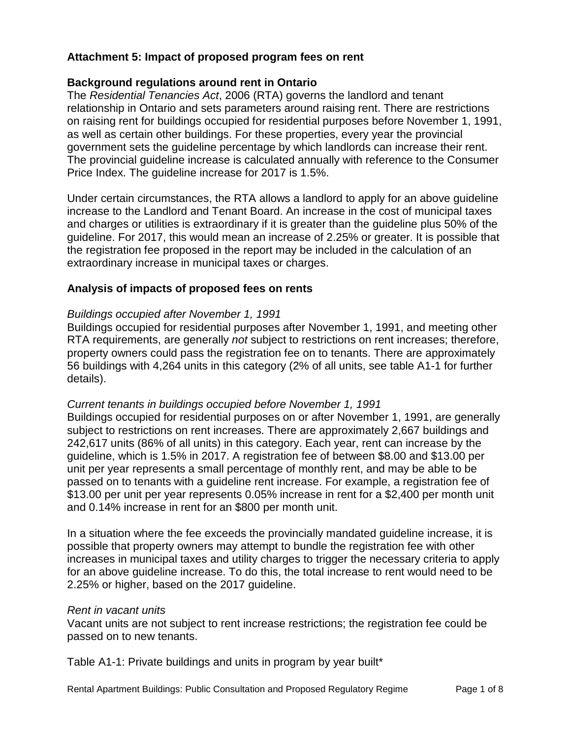# **Attachment 5: Impact of proposed program fees on rent**

### **Background regulations around rent in Ontario**

The *Residential Tenancies Act*, 2006 (RTA) governs the landlord and tenant relationship in Ontario and sets parameters around raising rent. There are restrictions on raising rent for buildings occupied for residential purposes before November 1, 1991, as well as certain other buildings. For these properties, every year the provincial government sets the guideline percentage by which landlords can increase their rent. The provincial guideline increase is calculated annually with reference to the Consumer Price Index. The guideline increase for 2017 is 1.5%.

Under certain circumstances, the RTA allows a landlord to apply for an above guideline increase to the Landlord and Tenant Board. An increase in the cost of municipal taxes and charges or utilities is extraordinary if it is greater than the guideline plus 50% of the guideline. For 2017, this would mean an increase of 2.25% or greater. It is possible that the registration fee proposed in the report may be included in the calculation of an extraordinary increase in municipal taxes or charges.

## **Analysis of impacts of proposed fees on rents**

#### *Buildings occupied after November 1, 1991*

Buildings occupied for residential purposes after November 1, 1991, and meeting other RTA requirements, are generally *not* subject to restrictions on rent increases; therefore, property owners could pass the registration fee on to tenants. There are approximately 56 buildings with 4,264 units in this category (2% of all units, see table A1-1 for further details).

### *Current tenants in buildings occupied before November 1, 1991*

Buildings occupied for residential purposes on or after November 1, 1991, are generally subject to restrictions on rent increases. There are approximately 2,667 buildings and 242,617 units (86% of all units) in this category. Each year, rent can increase by the guideline, which is 1.5% in 2017. A registration fee of between \$8.00 and \$13.00 per unit per year represents a small percentage of monthly rent, and may be able to be passed on to tenants with a guideline rent increase. For example, a registration fee of \$13.00 per unit per year represents 0.05% increase in rent for a \$2,400 per month unit and 0.14% increase in rent for an \$800 per month unit.

In a situation where the fee exceeds the provincially mandated guideline increase, it is possible that property owners may attempt to bundle the registration fee with other increases in municipal taxes and utility charges to trigger the necessary criteria to apply for an above guideline increase. To do this, the total increase to rent would need to be 2.25% or higher, based on the 2017 guideline.

#### *Rent in vacant units*

Vacant units are not subject to rent increase restrictions; the registration fee could be passed on to new tenants.

Table A1-1: Private buildings and units in program by year built\*

Rental Apartment Buildings: Public Consultation and Proposed Regulatory Regime Page 1 of 8